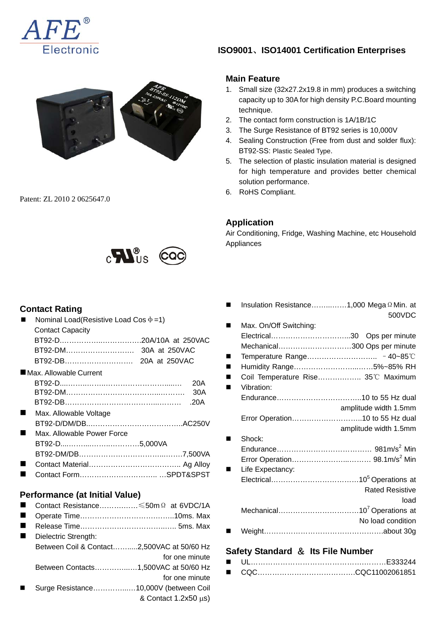



Patent: ZL 2010 2 0625647.0



 $\mathbb{R}$ 

#### **Contact Rating**

| Nominal Load(Resistive Load Cos $\Phi$ =1) |      |
|--------------------------------------------|------|
| <b>Contact Capacity</b>                    |      |
|                                            |      |
|                                            |      |
|                                            |      |
| $\blacksquare$ Max. Allowable Current      |      |
|                                            | 20A  |
|                                            | 30A  |
|                                            | .20A |
| Max. Allowable Voltage                     |      |
|                                            |      |
| Max. Allowable Power Force                 |      |
|                                            |      |
|                                            |      |
|                                            |      |
|                                            |      |
|                                            |      |
| Performance (at Initial Value)             |      |
| Contact Resistance ≤50m Ω at 6VDC/1A       |      |

 Operate Time………………………….……..10ms. Max Release Time……………………………..….. 5ms. Max ■ Dielectric Strength: Between Coil & Contact…….....2,500VAC at 50/60 Hz for one minute Between Contacts…………...…1,500VAC at 50/60 Hz for one minute Surge Resistance…………...…10,000V (between Coil & Contact 1.2x50 μs)

## **ISO9001**、**ISO14001 Certification Enterprises**

#### **Main Feature**

- 1. Small size (32x27.2x19.8 in mm) produces a switching capacity up to 30A for high density P.C.Board mounting technique.
- 2. The contact form construction is 1A/1B/1C
- 3. The Surge Resistance of BT92 series is 10,000V
- 4. Sealing Construction (Free from dust and solder flux): BT92-SS: Plastic Sealed Type.
- 5. The selection of plastic insulation material is designed for high temperature and provides better chemical solution performance.
- 6. RoHS Compliant.

#### **Application**

Air Conditioning, Fridge, Washing Machine, etc Household Appliances

| Insulation Resistance1,000 Mega Q Min. at |                        |
|-------------------------------------------|------------------------|
|                                           | 500VDC                 |
| Max. On/Off Switching:                    |                        |
|                                           |                        |
| Mechanical300 Ops per minute              |                        |
|                                           |                        |
| Humidity Range5%~85% RH                   |                        |
| Coil Temperature Rise 35°C Maximum        |                        |
| Vibration:                                |                        |
|                                           |                        |
|                                           | amplitude width 1.5mm  |
| Error Operation10 to 55 Hz dual           |                        |
|                                           | amplitude width 1.5mm  |
| Shock:                                    |                        |
|                                           |                        |
|                                           |                        |
| Life Expectancy:                          |                        |
|                                           |                        |
|                                           | <b>Rated Resistive</b> |
|                                           | load                   |
|                                           |                        |
|                                           | No load condition      |
|                                           |                        |

### **Safety Standard** & **Its File Number**